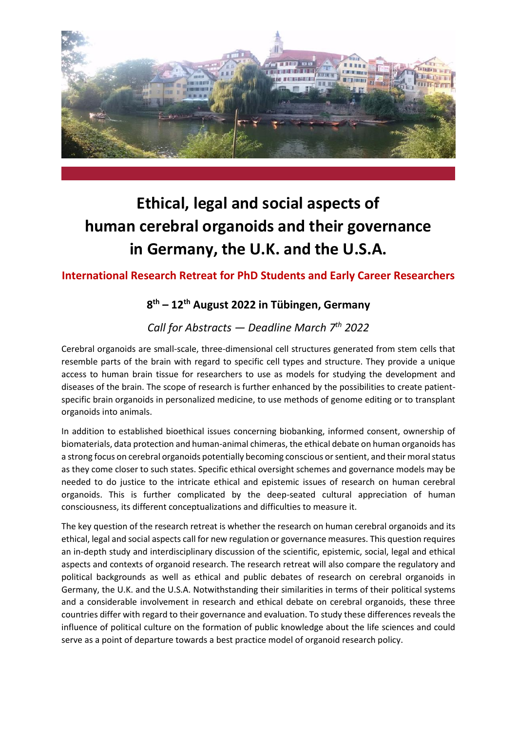

# **Ethical, legal and social aspects of human cerebral organoids and their governance in Germany, the U.K. and the U.S.A.**

# **International Research Retreat for PhD Students and Early Career Researchers**

# **8 th – 12th August 2022 in Tübingen, Germany**

# *Call for Abstracts — Deadline March 7 th 2022*

Cerebral organoids are small-scale, three-dimensional cell structures generated from stem cells that resemble parts of the brain with regard to specific cell types and structure. They provide a unique access to human brain tissue for researchers to use as models for studying the development and diseases of the brain. The scope of research is further enhanced by the possibilities to create patientspecific brain organoids in personalized medicine, to use methods of genome editing or to transplant organoids into animals.

In addition to established bioethical issues concerning biobanking, informed consent, ownership of biomaterials, data protection and human-animal chimeras, the ethical debate on human organoids has a strong focus on cerebral organoids potentially becoming conscious or sentient, and their moral status as they come closer to such states. Specific ethical oversight schemes and governance models may be needed to do justice to the intricate ethical and epistemic issues of research on human cerebral organoids. This is further complicated by the deep-seated cultural appreciation of human consciousness, its different conceptualizations and difficulties to measure it.

The key question of the research retreat is whether the research on human cerebral organoids and its ethical, legal and social aspects call for new regulation or governance measures. This question requires an in-depth study and interdisciplinary discussion of the scientific, epistemic, social, legal and ethical aspects and contexts of organoid research. The research retreat will also compare the regulatory and political backgrounds as well as ethical and public debates of research on cerebral organoids in Germany, the U.K. and the U.S.A. Notwithstanding their similarities in terms of their political systems and a considerable involvement in research and ethical debate on cerebral organoids, these three countries differ with regard to their governance and evaluation. To study these differences reveals the influence of political culture on the formation of public knowledge about the life sciences and could serve as a point of departure towards a best practice model of organoid research policy.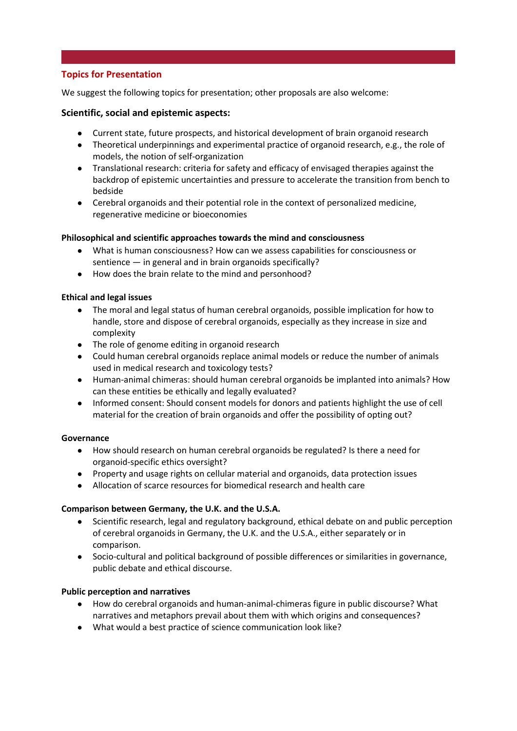# **Topics for Presentation**

We suggest the following topics for presentation; other proposals are also welcome:

#### **Scientific, social and epistemic aspects:**

- Current state, future prospects, and historical development of brain organoid research
- Theoretical underpinnings and experimental practice of organoid research, e.g., the role of models, the notion of self-organization
- Translational research: criteria for safety and efficacy of envisaged therapies against the backdrop of epistemic uncertainties and pressure to accelerate the transition from bench to bedside
- Cerebral organoids and their potential role in the context of personalized medicine, regenerative medicine or bioeconomies

#### **Philosophical and scientific approaches towards the mind and consciousness**

- What is human consciousness? How can we assess capabilities for consciousness or sentience — in general and in brain organoids specifically?
- How does the brain relate to the mind and personhood?

#### **Ethical and legal issues**

- The moral and legal status of human cerebral organoids, possible implication for how to handle, store and dispose of cerebral organoids, especially as they increase in size and complexity
- The role of genome editing in organoid research
- Could human cerebral organoids replace animal models or reduce the number of animals used in medical research and toxicology tests?
- Human-animal chimeras: should human cerebral organoids be implanted into animals? How can these entities be ethically and legally evaluated?
- Informed consent: Should consent models for donors and patients highlight the use of cell material for the creation of brain organoids and offer the possibility of opting out?

#### **Governance**

- How should research on human cerebral organoids be regulated? Is there a need for organoid-specific ethics oversight?
- Property and usage rights on cellular material and organoids, data protection issues
- Allocation of scarce resources for biomedical research and health care

#### **Comparison between Germany, the U.K. and the U.S.A.**

- Scientific research, legal and regulatory background, ethical debate on and public perception of cerebral organoids in Germany, the U.K. and the U.S.A., either separately or in comparison.
- Socio-cultural and political background of possible differences or similarities in governance, public debate and ethical discourse.

#### **Public perception and narratives**

- How do cerebral organoids and human-animal-chimeras figure in public discourse? What narratives and metaphors prevail about them with which origins and consequences?
- What would a best practice of science communication look like?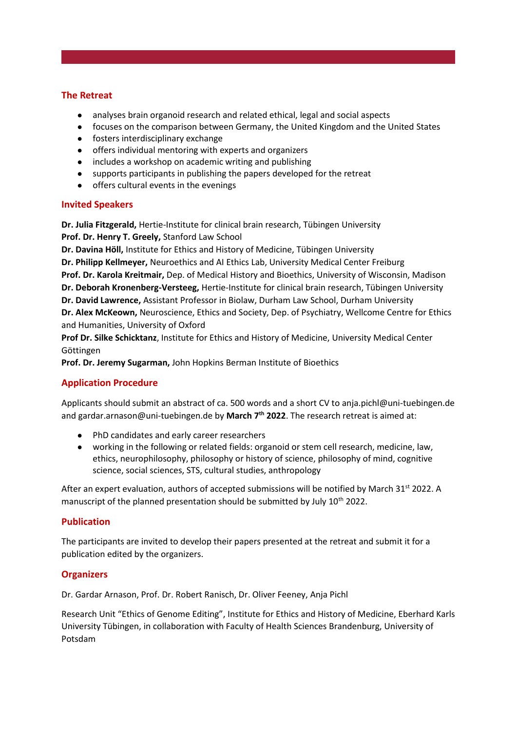#### **The Retreat**

- analyses brain organoid research and related ethical, legal and social aspects
- focuses on the comparison between Germany, the United Kingdom and the United States
- fosters interdisciplinary exchange
- offers individual mentoring with experts and organizers
- includes a workshop on academic writing and publishing
- supports participants in publishing the papers developed for the retreat
- offers cultural events in the evenings

#### **Invited Speakers**

**Dr. Julia Fitzgerald,** Hertie-Institute for clinical brain research, Tübingen University **Prof. Dr. Henry T. Greely,** Stanford Law School

**Dr. Davina Höll,** Institute for Ethics and History of Medicine, Tübingen University **Dr. Philipp Kellmeyer,** Neuroethics and AI Ethics Lab, University Medical Center Freiburg **Prof. Dr. Karola Kreitmair,** Dep. of Medical History and Bioethics, University of Wisconsin, Madison **Dr. Deborah Kronenberg-Versteeg,** Hertie-Institute for clinical brain research, Tübingen University **Dr. David Lawrence,** Assistant Professor in Biolaw, Durham Law School, Durham University **Dr. Alex McKeown,** Neuroscience, Ethics and Society, Dep. of Psychiatry, Wellcome Centre for Ethics and Humanities, University of Oxford

**Prof Dr. Silke Schicktanz**, Institute for Ethics and History of Medicine, University Medical Center Göttingen

**Prof. Dr. Jeremy Sugarman,** John Hopkins Berman Institute of Bioethics

# **Application Procedure**

Applicants should submit an abstract of ca. 500 words and a short CV to anja.pichl@uni-tuebingen.de and gardar.arnason@uni-tuebingen.de by **March 7 th 2022**. The research retreat is aimed at:

- PhD candidates and early career researchers
- working in the following or related fields: organoid or stem cell research, medicine, law, ethics, neurophilosophy, philosophy or history of science, philosophy of mind, cognitive science, social sciences, STS, cultural studies, anthropology

After an expert evaluation, authors of accepted submissions will be notified by March 31<sup>st</sup> 2022. A manuscript of the planned presentation should be submitted by July 10<sup>th</sup> 2022.

## **Publication**

The participants are invited to develop their papers presented at the retreat and submit it for a publication edited by the organizers.

## **Organizers**

Dr. Gardar Arnason, Prof. Dr. Robert Ranisch, Dr. Oliver Feeney, Anja Pichl

Research Unit "Ethics of Genome Editing", Institute for Ethics and History of Medicine, Eberhard Karls University Tübingen, in collaboration with Faculty of Health Sciences Brandenburg, University of Potsdam